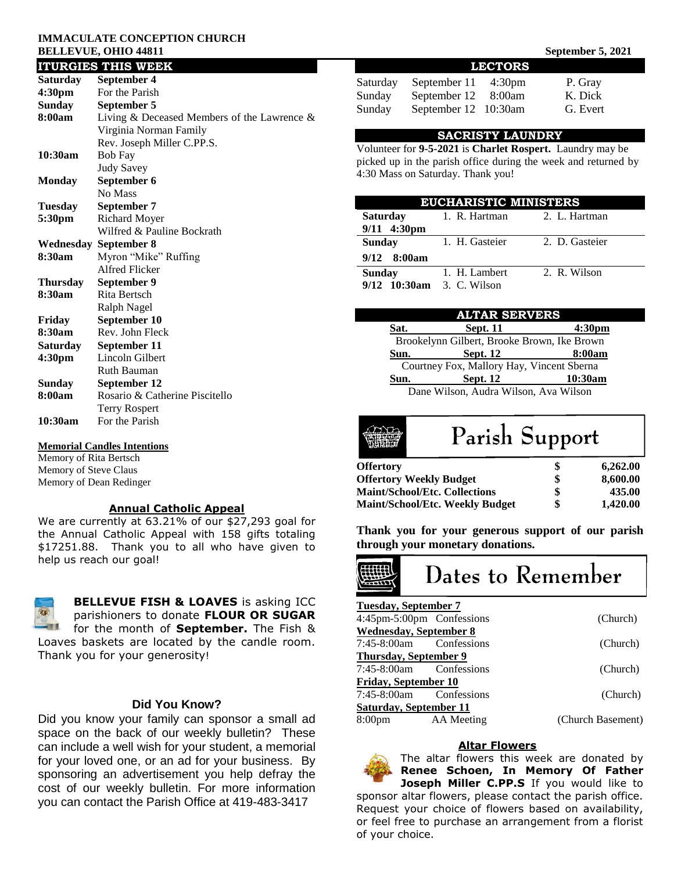#### **IMMACULATE CONCEPTION CHURCH BELLEVUE, OHIO 44811** September 5, 2021

#### **ITURGIES THIS WEEK Saturday September 4 4:30pm** For the Parish **Sunday September 5 8:00am** Living & Deceased Members of the Lawrence & Virginia Norman Family Rev. Joseph Miller C.PP.S. **10:30am** Bob Fay Judy Savey **Monday September 6** No Mass **Tuesday September 7 5:30pm** Richard Moyer Wilfred & Pauline Bockrath **Wednesday September 8 8:30am** Myron "Mike" Ruffing Alfred Flicker **Thursday September 9 8:30am** Rita Bertsch Ralph Nagel **Friday September 10 8:30am** Rev. John Fleck **Saturday September 11 4:30pm** Lincoln Gilbert Ruth Bauman **Sunday September 12 8:00am** Rosario & Catherine Piscitello Terry Rospert **10:30am** For the Parish

#### **Memorial Candles Intentions**

Memory of Rita Bertsch Memory of Steve Claus Memory of Dean Redinger

#### **Annual Catholic Appeal**

We are currently at 63.21% of our \$27,293 goal for the Annual Catholic Appeal with 158 gifts totaling \$17251.88. Thank you to all who have given to help us reach our goal!



**BELLEVUE FISH & LOAVES** is asking ICC parishioners to donate **FLOUR OR SUGAR** for the month of **September.** The Fish & Loaves baskets are located by the candle room.

Thank you for your generosity!

# **Did You Know?**

Did you know your family can sponsor a small ad space on the back of our weekly bulletin? These can include a well wish for your student, a memorial for your loved one, or an ad for your business. By sponsoring an advertisement you help defray the cost of our weekly bulletin. For more information you can contact the Parish Office at 419-483-3417

| <b>LECTORS</b> |                      |                    |          |  |  |  |
|----------------|----------------------|--------------------|----------|--|--|--|
| Saturday       | September 11         | 4:30 <sub>pm</sub> | P. Gray  |  |  |  |
| Sunday         | September 12         | 8:00am             | K. Dick  |  |  |  |
| Sunday         | September 12 10:30am |                    | G. Evert |  |  |  |

#### **SACRISTY LAUNDRY**

Volunteer for **9-5-2021** is **Charlet Rospert.** Laundry may be picked up in the parish office during the week and returned by 4:30 Mass on Saturday. Thank you!

| <b>EUCHARISTIC MINISTERS</b>        |                |                |  |  |
|-------------------------------------|----------------|----------------|--|--|
| Saturday                            | 1. R. Hartman  | 2. L. Hartman  |  |  |
| 9/11 4:30pm                         |                |                |  |  |
| <b>Sunday</b>                       | 1. H. Gasteier | 2. D. Gasteier |  |  |
| $9/12$ 8:00 am                      |                |                |  |  |
| Sunday<br>9/12 10:30am 3. C. Wilson | 1. H. Lambert  | 2. R. Wilson   |  |  |

|      | <b>ALTAR SERVERS</b>                        |                    |  |
|------|---------------------------------------------|--------------------|--|
| Sat. | <b>Sept. 11</b>                             | 4:30 <sub>pm</sub> |  |
|      | Brookelynn Gilbert, Brooke Brown, Ike Brown |                    |  |
| Sun. | <b>Sept. 12</b>                             | 8:00am             |  |
|      | Courtney Fox, Mallory Hay, Vincent Sberna   |                    |  |
| Sun. | <b>Sept. 12</b>                             | 10:30am            |  |
|      | Dane Wilson, Audra Wilson, Ava Wilson       |                    |  |



# Parish Support

| <b>Offertory</b>                       | S  | 6,262.00 |
|----------------------------------------|----|----------|
| <b>Offertory Weekly Budget</b>         | \$ | 8,600.00 |
| <b>Maint/School/Etc. Collections</b>   | \$ | 435.00   |
| <b>Maint/School/Etc. Weekly Budget</b> | \$ | 1.420.00 |

**Thank you for your generous support of our parish through your monetary donations.**

# Dates to Remember

| <b>Tuesday, September 7</b>   |            |                   |
|-------------------------------|------------|-------------------|
| 4:45pm-5:00pm Confessions     |            | (Church)          |
| <b>Wednesday, September 8</b> |            |                   |
| 7:45-8:00am Confessions       |            | (Church)          |
| <b>Thursday, September 9</b>  |            |                   |
| 7:45-8:00am Confessions       |            | (Church)          |
| <b>Friday, September 10</b>   |            |                   |
| 7:45-8:00am Confessions       |            | (Church)          |
| Saturday, September 11        |            |                   |
| 8:00 <sub>pm</sub>            | AA Meeting | (Church Basement) |

#### **Altar Flowers**

The altar flowers this week are donated by **Renee Schoen, In Memory Of Father Joseph Miller C.PP.S** If you would like to

sponsor altar flowers, please contact the parish office. Request your choice of flowers based on availability, or feel free to purchase an arrangement from a florist of your choice.